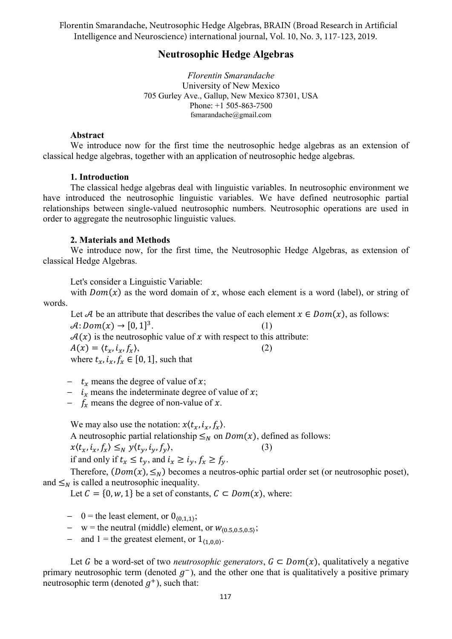Florentin Smarandache, Neutrosophic Hedge Algebras, BRAIN (Broad Research in Artificial Intelligence and Neuroscience) international journal, Vol. 10, No. 3, 117-123, 2019.

# Neutrosophic Hedge Algebras

Florentin Smarandache University of New Mexico 705 Gurley Ave., Gallup, New Mexico 87301, USA Phone:  $+1$  505-863-7500 fsmarandache@gmail.com

#### Abstract

We introduce now for the first time the neutrosophic hedge algebras as an extension of classical hedge algebras, together with an application of neutrosophic hedge algebras.

#### 1. Introduction

The classical hedge algebras deal with linguistic variables. In neutrosophic environment we have introduced the neutrosophic linguistic variables. We have defined neutrosophic partial relationships between single-valued neutrosophic numbers. Neutrosophic operations are used in order to aggregate the neutrosophic linguistic values.

#### 2. Materials and Methods

We introduce now, for the first time, the Neutrosophic Hedge Algebras, as extension of classical Hedge Algebras.

Let's consider a Linguistic Variable:

with  $Dom(x)$  as the word domain of x, whose each element is a word (label), or string of words.

Let A be an attribute that describes the value of each element  $x \in Dom(x)$ , as follows:

 $\mathcal{A}: Dom(x) \rightarrow [0,1]^3$ .  $(1)$  $\mathcal{A}(x)$  is the neutrosophic value of x with respect to this attribute:  $A(x) = \langle t_x, i_x, f_x \rangle,$  $\rangle,$  (2) where  $t_x$ ,  $i_x$ ,  $f_x \in [0, 1]$ , such that

-  $t_x$  means the degree of value of x;

-  $i_x$  means the indeterminate degree of value of x;

–  $f_x$  means the degree of non-value of x.

We may also use the notation:  $x(t_x, i_x, f_x)$ .

A neutrosophic partial relationship  $\leq_N$  on  $Dom(x)$ , defined as follows:

 $x\langle t_x, i_x, f_x \rangle \leq_N y\langle t_y, i_y, f_y \rangle$ 

if and only if  $t_x \le t_y$ , and  $i_x \ge i_y$ ,  $f_x \ge f_y$ .

Therefore,  $(Dom(x), \leq_N)$  becomes a neutros-ophic partial order set (or neutrosophic poset), and  $\leq_N$  is called a neutrosophic inequality.

 $(3)$ 

Let  $C = \{0, w, 1\}$  be a set of constants,  $C \subset Dom(x)$ , where:

- 0 = the least element, or  $0_{(0,1,1)}$ ;
- w = the neutral (middle) element, or  $W_{(0.5,0.5,0.5)}$ ;
- and 1 = the greatest element, or  $1_{(1,0,0)}$ .

Let G be a word-set of two *neutrosophic generators*,  $G \subset Dom(x)$ , qualitatively a negative primary neutrosophic term (denoted  $g^-$ ), and the other one that is qualitatively a positive primary neutrosophic term (denoted  $g^+$ ), such that: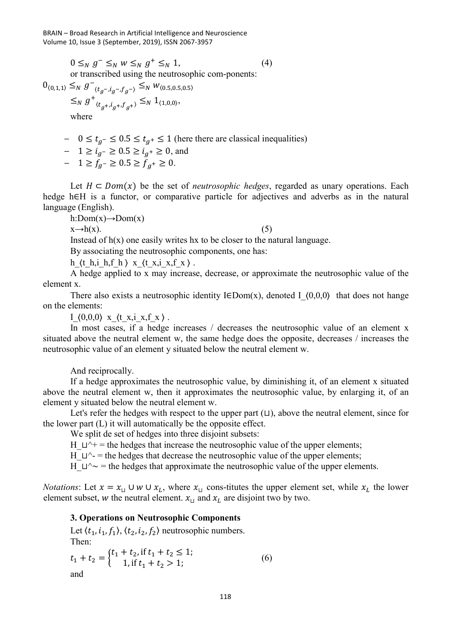$0 \leq_N g^- \leq_N w \leq_N g^+ \leq_N 1,$  (4) or transcribed using the neutrosophic com-ponents:

 $0_{(0,1,1)} \leq_N g^{-} \langle t_{g^{-},i_{g^{-},f_{g^{-}}}} \rangle \leq_N w_{(0.5,0.5,0.5)}$ 

$$
\leq_N g^+{}_{\langle t_{g^+, \dot t_{g^+, f_{g^+}} \rangle}} \leq_N 1_{\langle 1, 0, 0 \rangle},
$$

where

- $-$  0  $\le t_{g^-} \le 0.5 \le t_{g^+} \le 1$  (here there are classical inequalities)
- $1 \ge i_{g^-} \ge 0.5 \ge i_{g^+} \ge 0$ , and

 $- 1 \geq f_{g} - \geq 0.5 \geq f_{g} + \geq 0.$ 

Let  $H \subset Dom(x)$  be the set of *neutrosophic hedges*, regarded as unary operations. Each hedge h∈H is a functor, or comparative particle for adjectives and adverbs as in the natural language (English).

h: $Dom(x) \rightarrow Dom(x)$ 

 $x \rightarrow h(x)$ . (5)

Instead of  $h(x)$  one easily writes hx to be closer to the natural language.

By associating the neutrosophic components, one has:

h  $(t_h,i_h,f_h)$  x  $(t_x,i_x,f_x)$  .

A hedge applied to x may increase, decrease, or approximate the neutrosophic value of the element x.

There also exists a neutrosophic identity  $IEDom(x)$ , denoted I  $(0,0,0)$  that does not hange on the elements:

I  $(0,0,0)$  x  $(t \times x,i \times f \times )$ .

In most cases, if a hedge increases / decreases the neutrosophic value of an element x situated above the neutral element w, the same hedge does the opposite, decreases / increases the neutrosophic value of an element y situated below the neutral element w.

And reciprocally.

If a hedge approximates the neutrosophic value, by diminishing it, of an element x situated above the neutral element w, then it approximates the neutrosophic value, by enlarging it, of an element y situated below the neutral element w.

Let's refer the hedges with respect to the upper part (⊔), above the neutral element, since for the lower part (L) it will automatically be the opposite effect.

We split de set of hedges into three disjoint subsets:

H  $\Box^{\wedge}$  = the hedges that increase the neutrosophic value of the upper elements;

H  $\Box^{\wedge}$  = the hedges that decrease the neutrosophic value of the upper elements;

H  $\Box^{\wedge}$  = the hedges that approximate the neutrosophic value of the upper elements.

*Notations*: Let  $x = x_{\text{u}} \cup w \cup x_{\text{u}}$ , where  $x_{\text{u}}$  cons-titutes the upper element set, while  $x_{\text{u}}$  the lower element subset, w the neutral element.  $x_{\text{L}}$  and  $x_{\text{L}}$  are disjoint two by two.

## 3. Operations on Neutrosophic Components

Let  $\langle t_1, i_1, f_1 \rangle, \langle t_2, i_2, f_2 \rangle$  neutrosophic numbers. Then:

$$
t_1 + t_2 = \begin{cases} t_1 + t_2, \text{if } t_1 + t_2 \le 1; \\ 1, \text{if } t_1 + t_2 > 1; \end{cases}
$$
 (6)  
and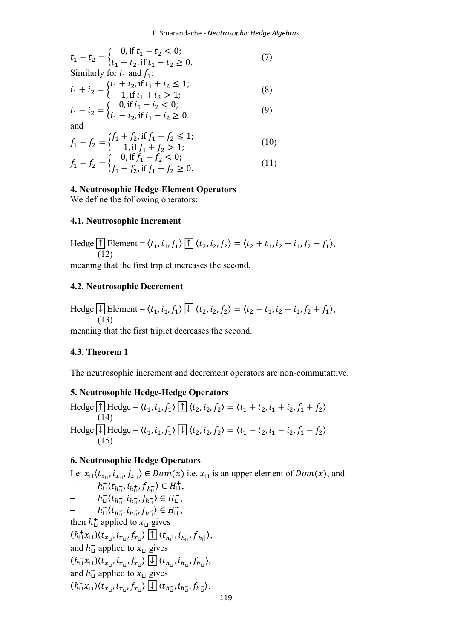$$
t_{1} - t_{2} = \begin{cases} 0, \text{ if } t_{1} - t_{2} < 0; \\ t_{1} - t_{2}, \text{ if } t_{1} - t_{2} \ge 0. \end{cases} \tag{7}
$$
\nSimilarly for  $i_{1}$  and  $f_{1}$ :  
\n
$$
i_{1} + i_{2} = \begin{cases} i_{1} + i_{2}, \text{ if } i_{1} + i_{2} \le 1; \\ 1, \text{ if } i_{1} + i_{2} > 1; \end{cases} \tag{8}
$$
\n
$$
i_{1} - i_{2} = \begin{cases} 0, \text{ if } i_{1} - i_{2} < 0; \\ i_{1} - i_{2}, \text{ if } i_{1} - i_{2} \ge 0. \end{cases} \tag{9}
$$
\nand  
\n
$$
f_{1} + f_{2} = \begin{cases} f_{1} + f_{2}, \text{ if } f_{1} + f_{2} \le 1; \\ 1, \text{ if } f_{1} + f_{2} > 1; \end{cases} \tag{10}
$$

$$
f_1 - f_2 = \begin{cases} 0, & \text{if } f_1 - f_2 > 1; \\ f_1 - f_2, & \text{if } f_1 - f_2 < 0; \\ f_1 - f_2, & \text{if } f_1 - f_2 \ge 0. \end{cases} \tag{11}
$$

#### 4. Neutrosophic Hedge-Element Operators

We define the following operators:

#### 4.1. Neutrosophic Increment

Hedge 
$$
\boxed{\uparrow}
$$
 Element =  $\langle t_1, i_1, f_1 \rangle \boxed{\uparrow} \langle t_2, i_2, f_2 \rangle = \langle t_2 + t_1, i_2 - i_1, f_2 - f_1 \rangle$ ,  
(12)  
meaning that the first triplet increases the second.

#### 4.2. Neutrosophic Decrement

Hedge 
$$
\boxed{\downarrow}
$$
 Element =  $\langle t_1, i_1, f_1 \rangle$   $\boxed{\downarrow}$   $\langle t_2, i_2, f_2 \rangle = \langle t_2 - t_1, i_2 + i_1, f_2 + f_1 \rangle$ , (13)

meaning that the first triplet decreases the second.

#### 4.3. Theorem 1

The neutrosophic increment and decrement operators are non-commutattive.

#### 5. Neutrosophic Hedge-Hedge Operators

Hedge 
$$
\boxed{\uparrow}
$$
 Hedge =  $\langle t_1, i_1, f_1 \rangle$   $\boxed{\uparrow}$   $\langle t_2, i_2, f_2 \rangle = \langle t_1 + t_2, i_1 + i_2, f_1 + f_2 \rangle$   
\n(14)  
\nHedge  $\boxed{\downarrow}$  Hedge =  $\langle t_1, i_1, f_1 \rangle$   $\boxed{\downarrow}$   $\langle t_2, i_2, f_2 \rangle = \langle t_1 - t_2, i_1 - i_2, f_1 - f_2 \rangle$   
\n(15)

## 6. Neutrosophic Hedge Operators

Let  $x_{\sqcup}$   $(t_{x_{\sqcup}}, t_{x_{\sqcup}}, f_{x_{\sqcup}}) \in Dom(x)$  i.e.  $x_{\sqcup}$  is an upper element of  $Dom(x)$ , and –  $h^{\dagger}_{\sqcup} \langle t_{h^{\dagger}_{\sqcup}}, i_{h^{\dagger}_{\sqcup}}, f_{h^{\dagger}_{\sqcup}} \rangle \in H^{\dagger}_{\sqcup},$ –  $h^-_\sqcup \langle t_{h^-_\sqcup}, i_{h^-_\sqcup}, f_{h^-_\sqcup} \rangle \in H^-_\sqcup,$ –  $h_{\sqcup}^{\sim} \langle t_{h_{\sqcup}^{\sim}}, i_{h_{\sqcup}^{\sim}}, f_{h_{\sqcup}^{\sim}} \rangle \in H_{\sqcup}^{\sim},$ then  $h^{\dagger}_{\sqcup}$  applied to  $x_{\sqcup}$  gives  $(h_{\sqcup}^{+} x_{\sqcup}) (t_{x_{\sqcup}}, i_{x_{\sqcup}}, f_{x_{\sqcup}})$   $\boxed{\uparrow} \langle t_{h_{\sqcup}^{+}}, i_{h_{\sqcup}^{+}}, f_{h_{\sqcup}^{+}} \rangle$ , and  $h^-$  applied to  $x^-$  gives  $(h_{\sqcup}^{-}x_{\sqcup})\langle t_{x_{\sqcup}}, i_{x_{\sqcup}}, f_{x_{\sqcup}}\rangle \boxed{\downarrow} \langle t_{h_{\sqcup}^{-}}, i_{h_{\sqcup}^{-}}, f_{h_{\sqcup}^{-}}\rangle,$ and  $h_{\mathsf{u}}$  applied to  $x_{\mathsf{u}}$  gives  $(h_{\mathfrak{u}}^{\sim} x_{\mathfrak{u}}) \langle t_{x_{\mathfrak{u}}}, i_{x_{\mathfrak{u}}}, f_{x_{\mathfrak{u}}}\rangle \Box \langle t_{h_{\mathfrak{u}}^{\sim}}, i_{h_{\mathfrak{u}}^{\sim}}, f_{h_{\mathfrak{u}}^{\sim}}\rangle.$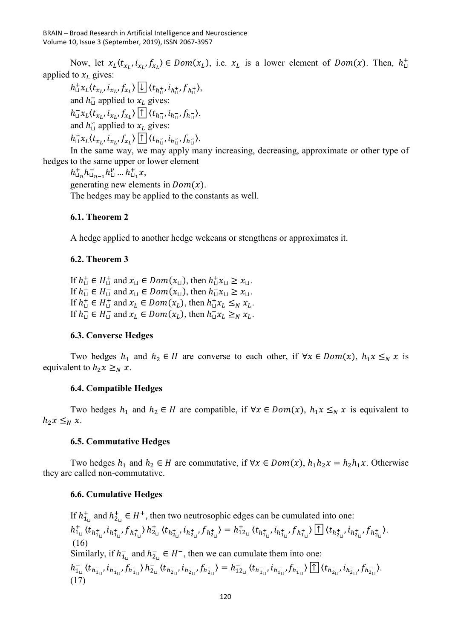BRAIN – Broad Research in Artificial Intelligence and Neuroscience Volume 10, Issue 3 (September, 2019), ISSN 2067-3957

Now, let  $x_L \langle t_{x_L}, t_{x_L}, f_{x_L} \rangle \in Dom(x_L)$ , i.e.  $x_L$  is a lower element of  $Dom(x)$ . Then,  $h^{\dagger}_{\sqcup}$ applied to  $x_L$  gives:

 $h^{\dagger}_{\sqcup} x_L \langle t_{x_L}, i_{x_L}, f_{x_L} \rangle \boxed{\downarrow} \langle t_{h^{\dagger}_{\sqcup}}, i_{h^{\dagger}_{\sqcup}}, f_{h^{\dagger}_{\sqcup}} \rangle,$ and  $h^-$  applied to  $x_L$  gives:  $h_{\sqcup}^{-}x_{L}\langle t_{x_{L}}, t_{x_{L}}, f_{x_{L}}\rangle \boxed{\uparrow} \langle t_{h_{\sqcup}^{-}}, t_{h_{\sqcup}^{-}}, f_{h_{\sqcup}^{-}}\rangle,$ and  $h_{\mathsf{u}}$  applied to  $x_L$  gives:  $h_{\mathfrak{u}}^{\sim} x_L \langle t_{x_L}, t_{x_L}, f_{x_L} \rangle \boxed{\uparrow} \langle t_{h_{\mathfrak{u}}^{\sim}}, t_{h_{\mathfrak{u}}^{\sim}}, f_{h_{\mathfrak{u}}^{\sim}} \rangle.$ 

In the same way, we may apply many increasing, decreasing, approximate or other type of hedges to the same upper or lower element

 $h^{\dagger}_{\sqcup_n} h^{\dagger}_{\sqcup_{n-1}} h^{\nu}_{\sqcup} ... h^{\dagger}_{\sqcup_1} x,$ 

generating new elements in  $Dom(x)$ . The hedges may be applied to the constants as well.

## 6.1. Theorem 2

A hedge applied to another hedge wekeans or stengthens or approximates it.

## 6.2. Theorem 3

If  $h^{\dagger}_{\sqcup} \in H^{\dagger}_{\sqcup}$  and  $x_{\sqcup} \in Dom(x_{\sqcup})$ , then  $h^{\dagger}_{\sqcup} x_{\sqcup} \geq x_{\sqcup}$ . If  $h^-_\sqcup \in H^-_\sqcup$  and  $x_\sqcup \in Dom(x_\sqcup)$ , then  $h^-_\sqcup x_\sqcup \geq x_\sqcup$ . If  $h^{\dagger}_{\sqcup} \in H^{\dagger}_{\sqcup}$  and  $x_L \in Dom(x_L)$ , then  $h^{\dagger}_{\sqcup} x_L \leq_N x_L$ . If  $h^-_\sqcup \in H^-_\sqcup$  and  $x_L \in Dom(x_L)$ , then  $h^-_\sqcup x_L \geq_N x_L$ .

## 6.3. Converse Hedges

Two hedges  $h_1$  and  $h_2 \in H$  are converse to each other, if  $\forall x \in Dom(x)$ ,  $h_1 x \leq_N x$  is equivalent to  $h_2 x \geq_N x$ .

## 6.4. Compatible Hedges

Two hedges  $h_1$  and  $h_2 \in H$  are compatible, if  $\forall x \in Dom(x)$ ,  $h_1 x \leq_N x$  is equivalent to  $h_2 x \leq_N x$ .

## 6.5. Commutative Hedges

Two hedges  $h_1$  and  $h_2 \in H$  are commutative, if  $\forall x \in Dom(x)$ ,  $h_1h_2x = h_2h_1x$ . Otherwise they are called non-commutative.

## 6.6. Cumulative Hedges

If  $h_{1_{\text{u}}}^{+}$  and  $h_{2_{\text{u}}}^{+} \in H^{+}$ , then two neutrosophic edges can be cumulated into one:  $h_{1_{\sqcup}}^{+}\, \langle t_{h_{1_{\sqcup}}^{+}}, t_{h_{1_{\sqcup}}^{+}}\rangle \, h_{2_{\sqcup}}^{+} \, \langle t_{h_{2_{\sqcup}}^{+}}, t_{h_{2_{\sqcup}}^{+}}\rangle = h_{12_{\sqcup}}^{+}\, \langle t_{h_{1_{\sqcup}}^{+}}, t_{h_{1_{\sqcup}}^{+}}, f_{h_{1_{\sqcup}}^{+}}\rangle \, \fbox] \, \langle t_{h_{2_{\sqcup}}^{+}}, t_{h_{2_{\sqcup}}^{+}}, f_{h_{2_{\sqcup}}^{+}}\rangle.$  (16) Similarly, if  $h_{1_{\cup}}^-$  and  $h_{2_{\cup}}^- \in H^-$ , then we can cumulate them into one:  $h^-_{1_{\sqcup}}\langle t_{h^-_{1_{\sqcup}}}, i_{h^-_{1_{\sqcup}}}\rangle\, h^-_{2_{\sqcup}}\langle t_{h^-_{2_{\sqcup}}}, i_{h^-_{2_{\sqcup}}}\rangle = h^-_{12_{\sqcup}}\langle t_{h^-_{1_{\sqcup}}}, i_{h^-_{1_{\sqcup}}}\rangle\, \boxed{\uparrow}\,\langle t_{h^-_{2_{\sqcup}}}, i_{h^-_{2_{\sqcup}}}\rangle\,.$ (17)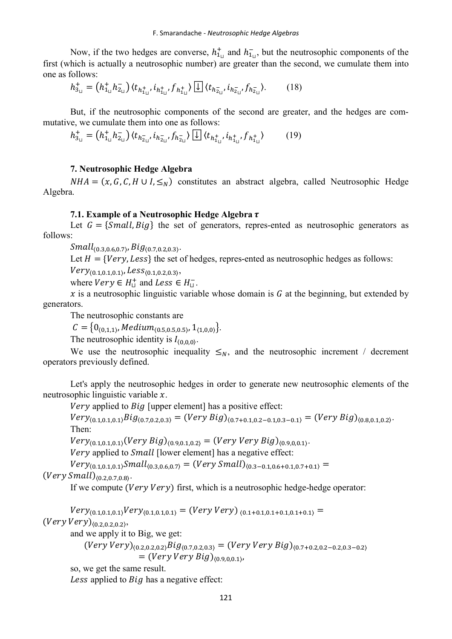Now, if the two hedges are converse,  $h_{1_{\sqcup}}^{+}$  and  $h_{1_{\sqcup}}^{-}$ , but the neutrosophic components of the first (which is actually a neutrosophic number) are greater than the second, we cumulate them into one as follows:

$$
h_{3_{\sqcup}}^{+} = (h_{1_{\sqcup}}^{+} h_{2_{\sqcup}}^{-}) \langle t_{h_{1_{\sqcup}}^{+}}, i_{h_{1_{\sqcup}}^{+}}, f_{h_{1_{\sqcup}}^{+}} \rangle \boxed{\sqcup} \langle t_{h_{2_{\sqcup}}^{-}}, i_{h_{2_{\sqcup}}^{-}}, f_{h_{2_{\sqcup}}^{-}} \rangle. \tag{18}
$$

But, if the neutrosophic components of the second are greater, and the hedges are commutative, we cumulate them into one as follows:

$$
h_{3_{\sqcup}}^{+} = (h_{1_{\sqcup}}^{+} h_{2_{\sqcup}}^{-}) \langle t_{h_{2_{\sqcup}}^{-}}, i_{h_{2_{\sqcup}}^{-}} \rangle \overline{\downarrow} \langle t_{h_{1_{\sqcup}}^{+}}, i_{h_{1_{\sqcup}}^{+}}, f_{h_{1_{\sqcup}}^{+}} \rangle \tag{19}
$$

#### 7. Neutrosophic Hedge Algebra

 $NHA = (x, G, C, H \cup I, \leq_N)$  constitutes an abstract algebra, called Neutrosophic Hedge Algebra.

## 7.1. Example of a Neutrosophic Hedge Algebra  $\tau$

Let  $G = \{Small, Big\}$  the set of generators, repres-ented as neutrosophic generators as follows:

 $Small_{\langle 0.3,0.6,0.7 \rangle}, Big_{\langle 0.7,0.2,0.3 \rangle}.$ 

Let  $H = \{Very, Less\}$  the set of hedges, repres-ented as neutrosophic hedges as follows:

 $Very_{(0.1,0.1,0.1)}, Less_{(0.1,0.2,0.3)},$ 

where  $Very \in H^{\perp}_{\sqcup}$  and  $Less \in H^{-}_{\sqcup}$ .

 $\hat{x}$  is a neutrosophic linguistic variable whose domain is  $\hat{G}$  at the beginning, but extended by generators.

The neutrosophic constants are

 $C = \{0_{(0,1,1)}, \text{Median}_{(0.5,0.5,0.5)}, 1_{(1,0,0)}\}.$ 

The neutrosophic identity is  $I_{(0,0,0)}$ .

We use the neutrosophic inequality  $\leq_N$ , and the neutrosophic increment / decrement operators previously defined.

Let's apply the neutrosophic hedges in order to generate new neutrosophic elements of the neutrosophic linguistic variable  $x$ .

*Very* applied to  $Big$  [upper element] has a positive effect:

 $Very_{(0.1,0.1,0.1)} Big_{(0.7,0.2,0.3)} = (Very Big)_{(0.7+0.1,0.2-0.1,0.3-0.1)} = (Very Big)_{(0.8,0.1,0.2)}.$ Then:

 $Very_{(0.1,0.1,0.1)}(Very Big)_{(0.9,0.1,0.2)} = (Very \, Very \, Big)_{(0.9,0,0.1)}.$ 

Very applied to *Small* [lower element] has a negative effect:

 $Very_{(0.1,0.1,0.1)} Small_{(0.3,0.6,0.7)} = (Very Small)_{(0.3-0.1,0.6+0.1,0.7+0.1)} =$ 

 $(Very\ Small)_{(0.2,0.7,0.8)}$ .

If we compute ( $Verv \, Verv$ ) first, which is a neutrosophic hedge-hedge operator:

 $Very_{(0,1,0,1,0,1)}$ Very $_{(0,1,0,1,0,1)} = (Very \, Very)_{(0,1+0,1,0,1+0,1,0,1+0,1)} =$ 

 $(Very \, Very)_{(0.2,0.2,0.2)},$ 

and we apply it to Big, we get:

$$
(Very \, Very)_{(0.2, 0.2, 0.2)} Big_{(0.7, 0.2, 0.3)} = (Very \, Very \, Big)_{(0.7+0.2, 0.2-0.2, 0.3-0.2)} = (Very \, Very \, Big)_{(0.9, 0, 0.1)},
$$

so, we get the same result.

Less applied to  $Big$  has a negative effect: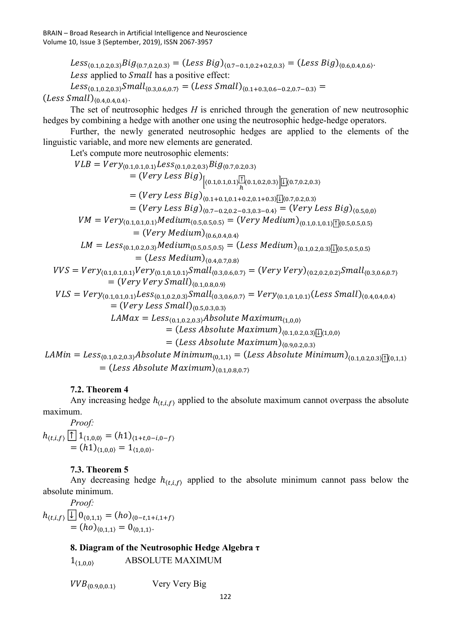$less_{(0.1,0.2,0.3)} Big_{(0.7,0.2,0.3)} = (less Big)_{(0.7-0.1,0.2+0.2,0.3)} = (less Big)_{(0.6,0.4,0.6)}$ . Less applied to Small has a positive effect:  $less_{(0,1,0,2,0,3)} Small_{(0,3,0,6,0,7)} = (less Small)_{(0,1+0,3,0,6-0,2,0,7-0,3)}$ 

# $(less Small)_{(0.4,0.4,0.4)}$ .

The set of neutrosophic hedges  $H$  is enriched through the generation of new neutrosophic hedges by combining a hedge with another one using the neutrosophic hedge-hedge operators.

Further, the newly generated neutrosophic hedges are applied to the elements of the linguistic variable, and more new elements are generated.

Let's compute more neutrosophic elements:

 = 〈.ଵ,.ଵ,.ଵ〉〈.ଵ,.ଶ,.ଷ〉〈.,.ଶ,.ଷ〉 = ( ) 〈.ଵ,.ଵ,.ଵ〉 ↑ 〈.ଵ,.ଶ,.ଷ〉൨ ↓ 〈.,.ଶ,.ଷ〉 = ( ) 〈.ଵା.ଵ,.ଵା.ଶ,.ଵା.ଷ〉 ↓ 〈.,.ଶ,.ଷ〉 = ( )〈.ି.ଶ,.ଶି.ଷ,.ଷି.ସ〉 = ( )〈.ହ,,〉 = 〈.ଵ,.ଵ,.ଵ〉〈.ହ,.ହ,.ହ〉 = ( ) 〈.ଵ,.ଵ,.ଵ〉 ↑ 〈.ହ,.ହ,.ହ〉 = ( )〈.,.ସ,.ସ〉 = 〈.ଵ,.ଶ,.ଷ〉〈.ହ,.ହ,.ହ〉 = ( ) 〈.ଵ,.ଶ,.ଷ〉 ↓ 〈.ହ,.ହ,.ହ〉 = ( )〈.ସ,.,.଼〉 = 〈.ଵ,.ଵ,.ଵ〉〈.ଵ,.ଵ,.ଵ〉〈.ଷ,.,.〉 = ( )〈.ଶ,.ଶ,.ଶ〉〈.ଷ,.,.〉 = ( )〈.ଵ,.଼,.ଽ〉 = 〈.ଵ,.ଵ,.ଵ〉〈.ଵ,.ଶ,.ଷ〉〈.ଷ,.,.〉 = 〈.ଵ,.ଵ,.ଵ〉( )〈.ସ,.ସ,.ସ〉 = ( )〈.ହ,.ଷ,.ଷ〉 = 〈.ଵ,.ଶ,.ଷ〉 〈ଵ,,〉 = ( ) 〈.ଵ,.ଶ,.ଷ〉 ↓ 〈ଵ,,〉 = ( )〈.ଽ,.ଶ,.ଷ〉 = 〈.ଵ,.ଶ,.ଷ〉 〈,ଵ,ଵ〉 = ( ) 〈.ଵ,.ଶ,.ଷ〉 ↑ 〈,ଵ,ଵ〉 = ( )〈.ଵ,.଼,.〉

## 7.2. Theorem 4

Any increasing hedge  $h_{(t,i,f)}$  applied to the absolute maximum cannot overpass the absolute maximum.

Proof:  $h_{(t,i,f)}$   $\boxed{\uparrow}$   $1_{(1,0,0)} = (h1)_{(1+t,0-i,0-f)}$  $= (h1)_{(1,0,0)} = 1_{(1,0,0)}.$ 

# 7.3. Theorem 5

Any decreasing hedge  $h_{(t,i,f)}$  applied to the absolute minimum cannot pass below the absolute minimum.

Proof:  $h_{(t,i,f)} \downarrow 0_{(0,1,1)} = (ho)_{(0-t,1+i,1+f)}$  $= (ho)_{(0,1,1)} = 0_{(0,1,1)}.$ 

> 8. Diagram of the Neutrosophic Hedge Algebra τ  $1_{(1,0,0)}$ ABSOLUTE MAXIMUM

| $VVB_{(0.9,0,0.1)}$ | Very Very Big |
|---------------------|---------------|
|                     |               |